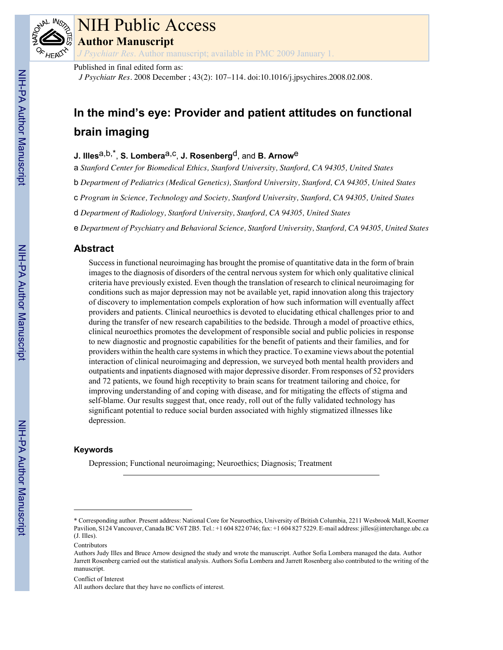

# NIH Public Access

**Author Manuscript**

*J Psychiatr Res*. Author manuscript; available in PMC 2009 January 1.

Published in final edited form as:

*J Psychiatr Res*. 2008 December ; 43(2): 107–114. doi:10.1016/j.jpsychires.2008.02.008.

## **In the mind's eye: Provider and patient attitudes on functional brain imaging**

**J. Illes**a,b,\*, **S. Lombera**a,c, **J. Rosenberg**d, and **B. Arnow**e

a *Stanford Center for Biomedical Ethics, Stanford University, Stanford, CA 94305, United States*

b *Department of Pediatrics (Medical Genetics), Stanford University, Stanford, CA 94305, United States*

c *Program in Science, Technology and Society, Stanford University, Stanford, CA 94305, United States*

d *Department of Radiology, Stanford University, Stanford, CA 94305, United States*

e *Department of Psychiatry and Behavioral Science, Stanford University, Stanford, CA 94305, United States*

## **Abstract**

Success in functional neuroimaging has brought the promise of quantitative data in the form of brain images to the diagnosis of disorders of the central nervous system for which only qualitative clinical criteria have previously existed. Even though the translation of research to clinical neuroimaging for conditions such as major depression may not be available yet, rapid innovation along this trajectory of discovery to implementation compels exploration of how such information will eventually affect providers and patients. Clinical neuroethics is devoted to elucidating ethical challenges prior to and during the transfer of new research capabilities to the bedside. Through a model of proactive ethics, clinical neuroethics promotes the development of responsible social and public policies in response to new diagnostic and prognostic capabilities for the benefit of patients and their families, and for providers within the health care systems in which they practice. To examine views about the potential interaction of clinical neuroimaging and depression, we surveyed both mental health providers and outpatients and inpatients diagnosed with major depressive disorder. From responses of 52 providers and 72 patients, we found high receptivity to brain scans for treatment tailoring and choice, for improving understanding of and coping with disease, and for mitigating the effects of stigma and self-blame. Our results suggest that, once ready, roll out of the fully validated technology has significant potential to reduce social burden associated with highly stigmatized illnesses like depression.

## **Keywords**

Depression; Functional neuroimaging; Neuroethics; Diagnosis; Treatment

Conflict of Interest

<sup>\*</sup> Corresponding author. Present address: National Core for Neuroethics, University of British Columbia, 2211 Wesbrook Mall, Koerner Pavilion, S124 Vancouver, Canada BC V6T 2B5. Tel.: +1 604 822 0746; fax: +1 604 827 5229. E-mail address: jilles@interchange.ubc.ca (J. Illes).

Contributors

Authors Judy Illes and Bruce Arnow designed the study and wrote the manuscript. Author Sofia Lombera managed the data. Author Jarrett Rosenberg carried out the statistical analysis. Authors Sofia Lombera and Jarrett Rosenberg also contributed to the writing of the manuscript.

All authors declare that they have no conflicts of interest.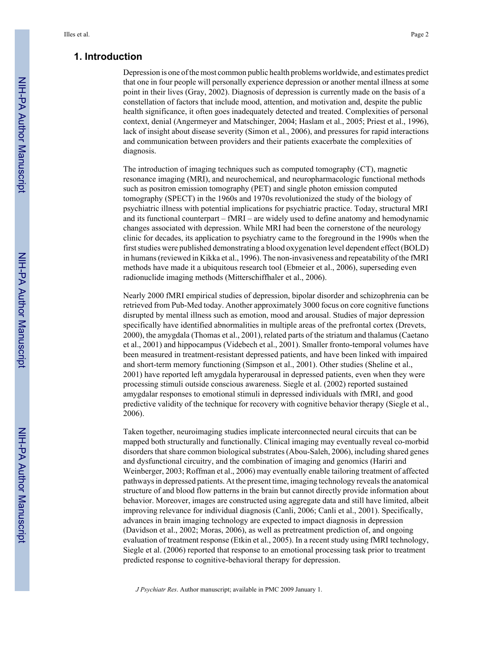## **1. Introduction**

Depression is one of the most common public health problems worldwide, and estimates predict that one in four people will personally experience depression or another mental illness at some point in their lives (Gray, 2002). Diagnosis of depression is currently made on the basis of a constellation of factors that include mood, attention, and motivation and, despite the public health significance, it often goes inadequately detected and treated. Complexities of personal context, denial (Angermeyer and Matschinger, 2004; Haslam et al., 2005; Priest et al., 1996), lack of insight about disease severity (Simon et al., 2006), and pressures for rapid interactions and communication between providers and their patients exacerbate the complexities of diagnosis.

The introduction of imaging techniques such as computed tomography (CT), magnetic resonance imaging (MRI), and neurochemical, and neuropharmacologic functional methods such as positron emission tomography (PET) and single photon emission computed tomography (SPECT) in the 1960s and 1970s revolutionized the study of the biology of psychiatric illness with potential implications for psychiatric practice. Today, structural MRI and its functional counterpart – fMRI – are widely used to define anatomy and hemodynamic changes associated with depression. While MRI had been the cornerstone of the neurology clinic for decades, its application to psychiatry came to the foreground in the 1990s when the first studies were published demonstrating a blood oxygenation level dependent effect (BOLD) in humans (reviewed in Kikka et al., 1996). The non-invasiveness and repeatability of the fMRI methods have made it a ubiquitous research tool (Ebmeier et al., 2006), superseding even radionuclide imaging methods (Mitterschiffhaler et al., 2006).

Nearly 2000 fMRI empirical studies of depression, bipolar disorder and schizophrenia can be retrieved from Pub-Med today. Another approximately 3000 focus on core cognitive functions disrupted by mental illness such as emotion, mood and arousal. Studies of major depression specifically have identified abnormalities in multiple areas of the prefrontal cortex (Drevets, 2000), the amygdala (Thomas et al., 2001), related parts of the striatum and thalamus (Caetano et al., 2001) and hippocampus (Videbech et al., 2001). Smaller fronto-temporal volumes have been measured in treatment-resistant depressed patients, and have been linked with impaired and short-term memory functioning (Simpson et al., 2001). Other studies (Sheline et al., 2001) have reported left amygdala hyperarousal in depressed patients, even when they were processing stimuli outside conscious awareness. Siegle et al. (2002) reported sustained amygdalar responses to emotional stimuli in depressed individuals with fMRI, and good predictive validity of the technique for recovery with cognitive behavior therapy (Siegle et al., 2006).

Taken together, neuroimaging studies implicate interconnected neural circuits that can be mapped both structurally and functionally. Clinical imaging may eventually reveal co-morbid disorders that share common biological substrates (Abou-Saleh, 2006), including shared genes and dysfunctional circuitry, and the combination of imaging and genomics (Hariri and Weinberger, 2003; Roffman et al., 2006) may eventually enable tailoring treatment of affected pathways in depressed patients. At the present time, imaging technology reveals the anatomical structure of and blood flow patterns in the brain but cannot directly provide information about behavior. Moreover, images are constructed using aggregate data and still have limited, albeit improving relevance for individual diagnosis (Canli, 2006; Canli et al., 2001). Specifically, advances in brain imaging technology are expected to impact diagnosis in depression (Davidson et al., 2002; Moras, 2006), as well as pretreatment prediction of, and ongoing evaluation of treatment response (Etkin et al., 2005). In a recent study using fMRI technology, Siegle et al. (2006) reported that response to an emotional processing task prior to treatment predicted response to cognitive-behavioral therapy for depression.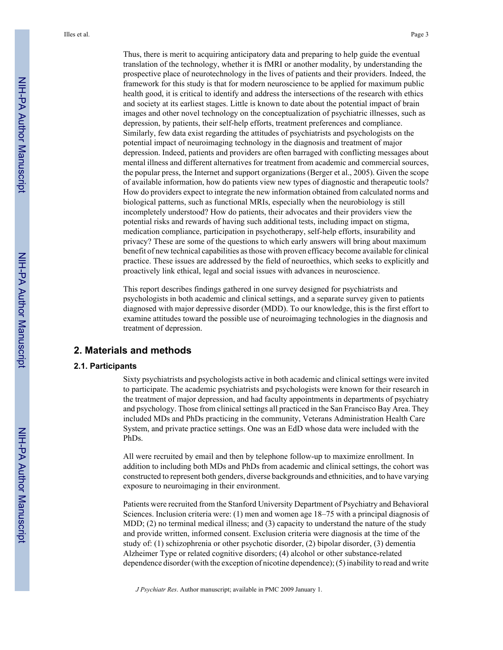Thus, there is merit to acquiring anticipatory data and preparing to help guide the eventual translation of the technology, whether it is fMRI or another modality, by understanding the prospective place of neurotechnology in the lives of patients and their providers. Indeed, the framework for this study is that for modern neuroscience to be applied for maximum public health good, it is critical to identify and address the intersections of the research with ethics and society at its earliest stages. Little is known to date about the potential impact of brain images and other novel technology on the conceptualization of psychiatric illnesses, such as depression, by patients, their self-help efforts, treatment preferences and compliance. Similarly, few data exist regarding the attitudes of psychiatrists and psychologists on the potential impact of neuroimaging technology in the diagnosis and treatment of major depression. Indeed, patients and providers are often barraged with conflicting messages about mental illness and different alternatives for treatment from academic and commercial sources, the popular press, the Internet and support organizations (Berger et al., 2005). Given the scope of available information, how do patients view new types of diagnostic and therapeutic tools? How do providers expect to integrate the new information obtained from calculated norms and biological patterns, such as functional MRIs, especially when the neurobiology is still incompletely understood? How do patients, their advocates and their providers view the potential risks and rewards of having such additional tests, including impact on stigma, medication compliance, participation in psychotherapy, self-help efforts, insurability and privacy? These are some of the questions to which early answers will bring about maximum benefit of new technical capabilities as those with proven efficacy become available for clinical practice. These issues are addressed by the field of neuroethics, which seeks to explicitly and proactively link ethical, legal and social issues with advances in neuroscience.

This report describes findings gathered in one survey designed for psychiatrists and psychologists in both academic and clinical settings, and a separate survey given to patients diagnosed with major depressive disorder (MDD). To our knowledge, this is the first effort to examine attitudes toward the possible use of neuroimaging technologies in the diagnosis and treatment of depression.

#### **2. Materials and methods**

#### **2.1. Participants**

Sixty psychiatrists and psychologists active in both academic and clinical settings were invited to participate. The academic psychiatrists and psychologists were known for their research in the treatment of major depression, and had faculty appointments in departments of psychiatry and psychology. Those from clinical settings all practiced in the San Francisco Bay Area. They included MDs and PhDs practicing in the community, Veterans Administration Health Care System, and private practice settings. One was an EdD whose data were included with the PhDs.

All were recruited by email and then by telephone follow-up to maximize enrollment. In addition to including both MDs and PhDs from academic and clinical settings, the cohort was constructed to represent both genders, diverse backgrounds and ethnicities, and to have varying exposure to neuroimaging in their environment.

Patients were recruited from the Stanford University Department of Psychiatry and Behavioral Sciences. Inclusion criteria were: (1) men and women age 18–75 with a principal diagnosis of MDD; (2) no terminal medical illness; and (3) capacity to understand the nature of the study and provide written, informed consent. Exclusion criteria were diagnosis at the time of the study of: (1) schizophrenia or other psychotic disorder, (2) bipolar disorder, (3) dementia Alzheimer Type or related cognitive disorders; (4) alcohol or other substance-related dependence disorder (with the exception of nicotine dependence); (5) inability to read and write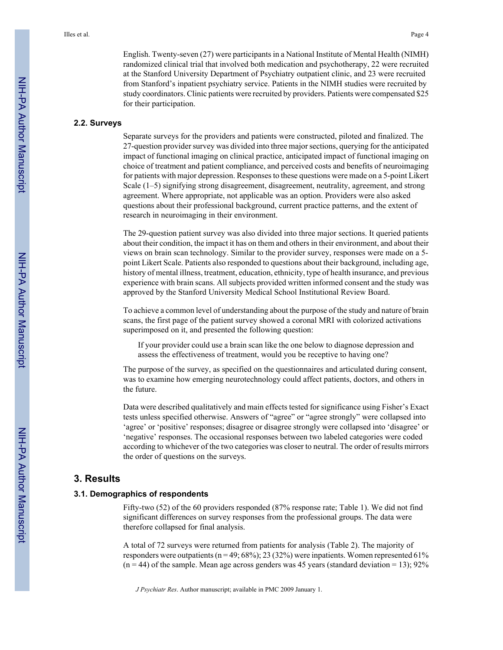English. Twenty-seven (27) were participants in a National Institute of Mental Health (NIMH) randomized clinical trial that involved both medication and psychotherapy, 22 were recruited at the Stanford University Department of Psychiatry outpatient clinic, and 23 were recruited from Stanford's inpatient psychiatry service. Patients in the NIMH studies were recruited by study coordinators. Clinic patients were recruited by providers. Patients were compensated \$25 for their participation.

#### **2.2. Surveys**

Separate surveys for the providers and patients were constructed, piloted and finalized. The 27-question provider survey was divided into three major sections, querying for the anticipated impact of functional imaging on clinical practice, anticipated impact of functional imaging on choice of treatment and patient compliance, and perceived costs and benefits of neuroimaging for patients with major depression. Responses to these questions were made on a 5-point Likert Scale (1–5) signifying strong disagreement, disagreement, neutrality, agreement, and strong agreement. Where appropriate, not applicable was an option. Providers were also asked questions about their professional background, current practice patterns, and the extent of research in neuroimaging in their environment.

The 29-question patient survey was also divided into three major sections. It queried patients about their condition, the impact it has on them and others in their environment, and about their views on brain scan technology. Similar to the provider survey, responses were made on a 5 point Likert Scale. Patients also responded to questions about their background, including age, history of mental illness, treatment, education, ethnicity, type of health insurance, and previous experience with brain scans. All subjects provided written informed consent and the study was approved by the Stanford University Medical School Institutional Review Board.

To achieve a common level of understanding about the purpose of the study and nature of brain scans, the first page of the patient survey showed a coronal MRI with colorized activations superimposed on it, and presented the following question:

If your provider could use a brain scan like the one below to diagnose depression and assess the effectiveness of treatment, would you be receptive to having one?

The purpose of the survey, as specified on the questionnaires and articulated during consent, was to examine how emerging neurotechnology could affect patients, doctors, and others in the future.

Data were described qualitatively and main effects tested for significance using Fisher's Exact tests unless specified otherwise. Answers of "agree" or "agree strongly" were collapsed into 'agree' or 'positive' responses; disagree or disagree strongly were collapsed into 'disagree' or 'negative' responses. The occasional responses between two labeled categories were coded according to whichever of the two categories was closer to neutral. The order of results mirrors the order of questions on the surveys.

## **3. Results**

#### **3.1. Demographics of respondents**

Fifty-two (52) of the 60 providers responded (87% response rate; Table 1). We did not find significant differences on survey responses from the professional groups. The data were therefore collapsed for final analysis.

A total of 72 surveys were returned from patients for analysis (Table 2). The majority of responders were outpatients ( $n = 49$ ; 68%); 23 (32%) were inpatients. Women represented 61%  $(n = 44)$  of the sample. Mean age across genders was 45 years (standard deviation = 13); 92%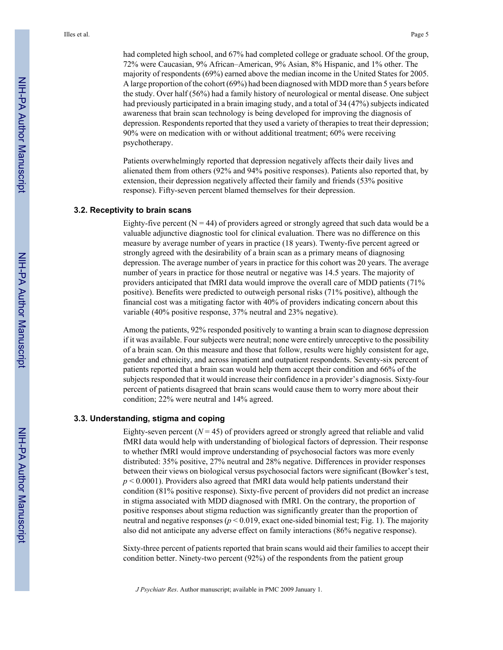had completed high school, and 67% had completed college or graduate school. Of the group, 72% were Caucasian, 9% African–American, 9% Asian, 8% Hispanic, and 1% other. The majority of respondents (69%) earned above the median income in the United States for 2005. A large proportion of the cohort (69%) had been diagnosed with MDD more than 5 years before the study. Over half (56%) had a family history of neurological or mental disease. One subject had previously participated in a brain imaging study, and a total of 34 (47%) subjects indicated awareness that brain scan technology is being developed for improving the diagnosis of depression. Respondents reported that they used a variety of therapies to treat their depression; 90% were on medication with or without additional treatment; 60% were receiving psychotherapy.

Patients overwhelmingly reported that depression negatively affects their daily lives and alienated them from others (92% and 94% positive responses). Patients also reported that, by extension, their depression negatively affected their family and friends (53% positive response). Fifty-seven percent blamed themselves for their depression.

#### **3.2. Receptivity to brain scans**

Eighty-five percent ( $N = 44$ ) of providers agreed or strongly agreed that such data would be a valuable adjunctive diagnostic tool for clinical evaluation. There was no difference on this measure by average number of years in practice (18 years). Twenty-five percent agreed or strongly agreed with the desirability of a brain scan as a primary means of diagnosing depression. The average number of years in practice for this cohort was 20 years. The average number of years in practice for those neutral or negative was 14.5 years. The majority of providers anticipated that fMRI data would improve the overall care of MDD patients (71% positive). Benefits were predicted to outweigh personal risks (71% positive), although the financial cost was a mitigating factor with 40% of providers indicating concern about this variable (40% positive response, 37% neutral and 23% negative).

Among the patients, 92% responded positively to wanting a brain scan to diagnose depression if it was available. Four subjects were neutral; none were entirely unreceptive to the possibility of a brain scan. On this measure and those that follow, results were highly consistent for age, gender and ethnicity, and across inpatient and outpatient respondents. Seventy-six percent of patients reported that a brain scan would help them accept their condition and 66% of the subjects responded that it would increase their confidence in a provider's diagnosis. Sixty-four percent of patients disagreed that brain scans would cause them to worry more about their condition; 22% were neutral and 14% agreed.

#### **3.3. Understanding, stigma and coping**

Eighty-seven percent  $(N = 45)$  of providers agreed or strongly agreed that reliable and valid fMRI data would help with understanding of biological factors of depression. Their response to whether fMRI would improve understanding of psychosocial factors was more evenly distributed: 35% positive, 27% neutral and 28% negative. Differences in provider responses between their views on biological versus psychosocial factors were significant (Bowker's test, *p* < 0.0001). Providers also agreed that fMRI data would help patients understand their condition (81% positive response). Sixty-five percent of providers did not predict an increase in stigma associated with MDD diagnosed with fMRI. On the contrary, the proportion of positive responses about stigma reduction was significantly greater than the proportion of neutral and negative responses  $(p < 0.019$ , exact one-sided binomial test; Fig. 1). The majority also did not anticipate any adverse effect on family interactions (86% negative response).

Sixty-three percent of patients reported that brain scans would aid their families to accept their condition better. Ninety-two percent (92%) of the respondents from the patient group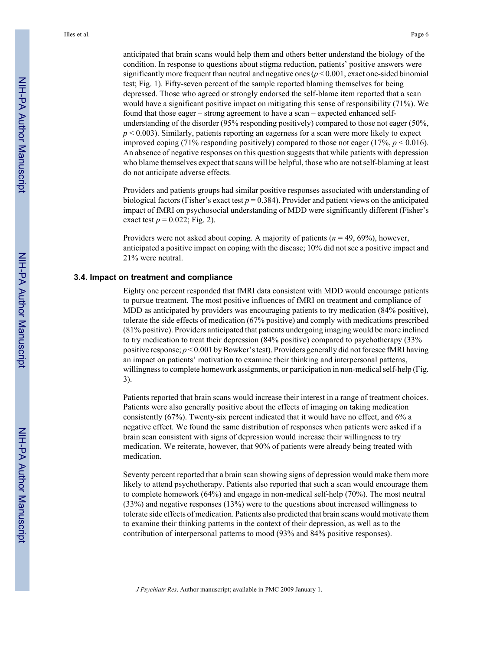anticipated that brain scans would help them and others better understand the biology of the condition. In response to questions about stigma reduction, patients' positive answers were significantly more frequent than neutral and negative ones  $(p < 0.001$ , exact one-sided binomial test; Fig. 1). Fifty-seven percent of the sample reported blaming themselves for being depressed. Those who agreed or strongly endorsed the self-blame item reported that a scan would have a significant positive impact on mitigating this sense of responsibility (71%). We found that those eager – strong agreement to have a scan – expected enhanced selfunderstanding of the disorder (95% responding positively) compared to those not eager (50%,  $p \le 0.003$ ). Similarly, patients reporting an eagerness for a scan were more likely to expect improved coping (71% responding positively) compared to those not eager (17%,  $p < 0.016$ ). An absence of negative responses on this question suggests that while patients with depression who blame themselves expect that scans will be helpful, those who are not self-blaming at least do not anticipate adverse effects.

Providers and patients groups had similar positive responses associated with understanding of biological factors (Fisher's exact test  $p = 0.384$ ). Provider and patient views on the anticipated impact of fMRI on psychosocial understanding of MDD were significantly different (Fisher's exact test  $p = 0.022$ ; Fig. 2).

Providers were not asked about coping. A majority of patients (*n* = 49, 69%), however, anticipated a positive impact on coping with the disease; 10% did not see a positive impact and 21% were neutral.

#### **3.4. Impact on treatment and compliance**

Eighty one percent responded that fMRI data consistent with MDD would encourage patients to pursue treatment. The most positive influences of fMRI on treatment and compliance of MDD as anticipated by providers was encouraging patients to try medication (84% positive), tolerate the side effects of medication (67% positive) and comply with medications prescribed (81% positive). Providers anticipated that patients undergoing imaging would be more inclined to try medication to treat their depression (84% positive) compared to psychotherapy (33% positive response; *p* < 0.001 by Bowker's test). Providers generally did not foresee fMRI having an impact on patients' motivation to examine their thinking and interpersonal patterns, willingness to complete homework assignments, or participation in non-medical self-help (Fig. 3).

Patients reported that brain scans would increase their interest in a range of treatment choices. Patients were also generally positive about the effects of imaging on taking medication consistently (67%). Twenty-six percent indicated that it would have no effect, and 6% a negative effect. We found the same distribution of responses when patients were asked if a brain scan consistent with signs of depression would increase their willingness to try medication. We reiterate, however, that 90% of patients were already being treated with medication.

Seventy percent reported that a brain scan showing signs of depression would make them more likely to attend psychotherapy. Patients also reported that such a scan would encourage them to complete homework (64%) and engage in non-medical self-help (70%). The most neutral (33%) and negative responses (13%) were to the questions about increased willingness to tolerate side effects of medication. Patients also predicted that brain scans would motivate them to examine their thinking patterns in the context of their depression, as well as to the contribution of interpersonal patterns to mood (93% and 84% positive responses).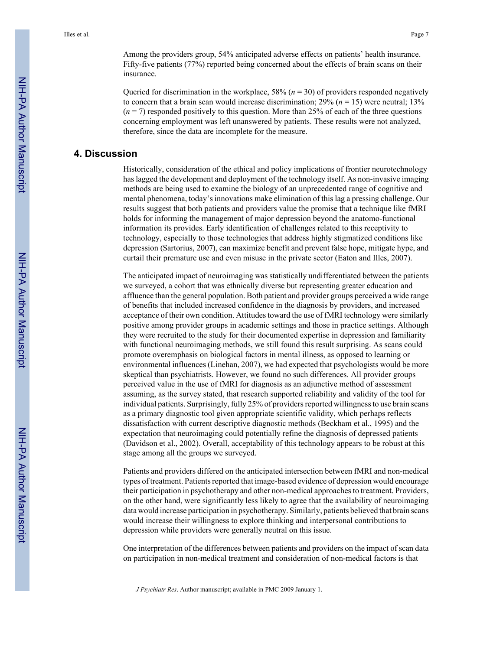Among the providers group, 54% anticipated adverse effects on patients' health insurance. Fifty-five patients (77%) reported being concerned about the effects of brain scans on their insurance.

Queried for discrimination in the workplace,  $58\%$  ( $n = 30$ ) of providers responded negatively to concern that a brain scan would increase discrimination;  $29\%$  ( $n = 15$ ) were neutral; 13%  $(n=7)$  responded positively to this question. More than 25% of each of the three questions concerning employment was left unanswered by patients. These results were not analyzed, therefore, since the data are incomplete for the measure.

## **4. Discussion**

Historically, consideration of the ethical and policy implications of frontier neurotechnology has lagged the development and deployment of the technology itself. As non-invasive imaging methods are being used to examine the biology of an unprecedented range of cognitive and mental phenomena, today's innovations make elimination of this lag a pressing challenge. Our results suggest that both patients and providers value the promise that a technique like fMRI holds for informing the management of major depression beyond the anatomo-functional information its provides. Early identification of challenges related to this receptivity to technology, especially to those technologies that address highly stigmatized conditions like depression (Sartorius, 2007), can maximize benefit and prevent false hope, mitigate hype, and curtail their premature use and even misuse in the private sector (Eaton and Illes, 2007).

The anticipated impact of neuroimaging was statistically undifferentiated between the patients we surveyed, a cohort that was ethnically diverse but representing greater education and affluence than the general population. Both patient and provider groups perceived a wide range of benefits that included increased confidence in the diagnosis by providers, and increased acceptance of their own condition. Attitudes toward the use of fMRI technology were similarly positive among provider groups in academic settings and those in practice settings. Although they were recruited to the study for their documented expertise in depression and familiarity with functional neuroimaging methods, we still found this result surprising. As scans could promote overemphasis on biological factors in mental illness, as opposed to learning or environmental influences (Linehan, 2007), we had expected that psychologists would be more skeptical than psychiatrists. However, we found no such differences. All provider groups perceived value in the use of fMRI for diagnosis as an adjunctive method of assessment assuming, as the survey stated, that research supported reliability and validity of the tool for individual patients. Surprisingly, fully 25% of providers reported willingness to use brain scans as a primary diagnostic tool given appropriate scientific validity, which perhaps reflects dissatisfaction with current descriptive diagnostic methods (Beckham et al., 1995) and the expectation that neuroimaging could potentially refine the diagnosis of depressed patients (Davidson et al., 2002). Overall, acceptability of this technology appears to be robust at this stage among all the groups we surveyed.

Patients and providers differed on the anticipated intersection between fMRI and non-medical types of treatment. Patients reported that image-based evidence of depression would encourage their participation in psychotherapy and other non-medical approaches to treatment. Providers, on the other hand, were significantly less likely to agree that the availability of neuroimaging data would increase participation in psychotherapy. Similarly, patients believed that brain scans would increase their willingness to explore thinking and interpersonal contributions to depression while providers were generally neutral on this issue.

One interpretation of the differences between patients and providers on the impact of scan data on participation in non-medical treatment and consideration of non-medical factors is that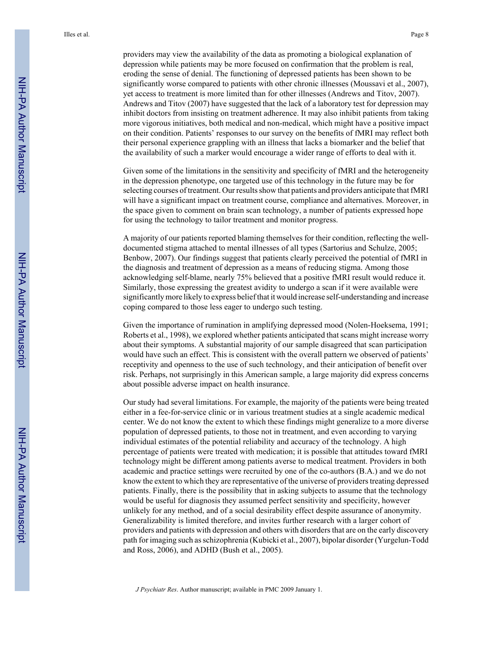providers may view the availability of the data as promoting a biological explanation of depression while patients may be more focused on confirmation that the problem is real, eroding the sense of denial. The functioning of depressed patients has been shown to be significantly worse compared to patients with other chronic illnesses (Moussavi et al., 2007), yet access to treatment is more limited than for other illnesses (Andrews and Titov, 2007). Andrews and Titov (2007) have suggested that the lack of a laboratory test for depression may inhibit doctors from insisting on treatment adherence. It may also inhibit patients from taking more vigorous initiatives, both medical and non-medical, which might have a positive impact on their condition. Patients' responses to our survey on the benefits of fMRI may reflect both their personal experience grappling with an illness that lacks a biomarker and the belief that the availability of such a marker would encourage a wider range of efforts to deal with it.

Given some of the limitations in the sensitivity and specificity of fMRI and the heterogeneity in the depression phenotype, one targeted use of this technology in the future may be for selecting courses of treatment. Our results show that patients and providers anticipate that fMRI will have a significant impact on treatment course, compliance and alternatives. Moreover, in the space given to comment on brain scan technology, a number of patients expressed hope for using the technology to tailor treatment and monitor progress.

A majority of our patients reported blaming themselves for their condition, reflecting the welldocumented stigma attached to mental illnesses of all types (Sartorius and Schulze, 2005; Benbow, 2007). Our findings suggest that patients clearly perceived the potential of fMRI in the diagnosis and treatment of depression as a means of reducing stigma. Among those acknowledging self-blame, nearly 75% believed that a positive fMRI result would reduce it. Similarly, those expressing the greatest avidity to undergo a scan if it were available were significantly more likely to express belief that it would increase self-understanding and increase coping compared to those less eager to undergo such testing.

Given the importance of rumination in amplifying depressed mood (Nolen-Hoeksema, 1991; Roberts et al., 1998), we explored whether patients anticipated that scans might increase worry about their symptoms. A substantial majority of our sample disagreed that scan participation would have such an effect. This is consistent with the overall pattern we observed of patients' receptivity and openness to the use of such technology, and their anticipation of benefit over risk. Perhaps, not surprisingly in this American sample, a large majority did express concerns about possible adverse impact on health insurance.

Our study had several limitations. For example, the majority of the patients were being treated either in a fee-for-service clinic or in various treatment studies at a single academic medical center. We do not know the extent to which these findings might generalize to a more diverse population of depressed patients, to those not in treatment, and even according to varying individual estimates of the potential reliability and accuracy of the technology. A high percentage of patients were treated with medication; it is possible that attitudes toward fMRI technology might be different among patients averse to medical treatment. Providers in both academic and practice settings were recruited by one of the co-authors (B.A.) and we do not know the extent to which they are representative of the universe of providers treating depressed patients. Finally, there is the possibility that in asking subjects to assume that the technology would be useful for diagnosis they assumed perfect sensitivity and specificity, however unlikely for any method, and of a social desirability effect despite assurance of anonymity. Generalizability is limited therefore, and invites further research with a larger cohort of providers and patients with depression and others with disorders that are on the early discovery path for imaging such as schizophrenia (Kubicki et al., 2007), bipolar disorder (Yurgelun-Todd and Ross, 2006), and ADHD (Bush et al., 2005).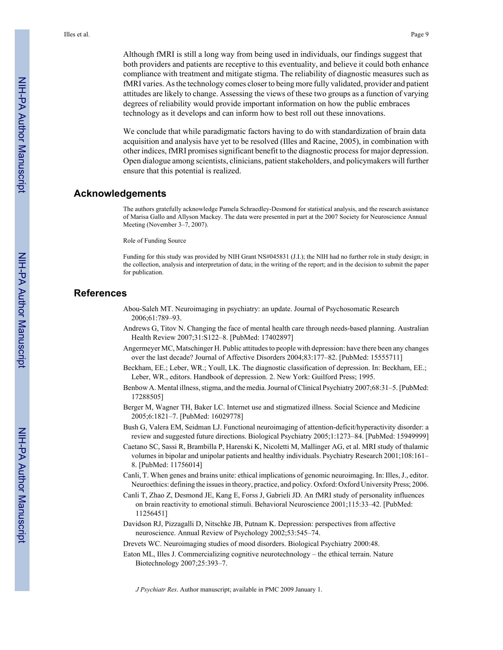Although fMRI is still a long way from being used in individuals, our findings suggest that both providers and patients are receptive to this eventuality, and believe it could both enhance compliance with treatment and mitigate stigma. The reliability of diagnostic measures such as fMRI varies. As the technology comes closer to being more fully validated, provider and patient attitudes are likely to change. Assessing the views of these two groups as a function of varying degrees of reliability would provide important information on how the public embraces technology as it develops and can inform how to best roll out these innovations.

We conclude that while paradigmatic factors having to do with standardization of brain data acquisition and analysis have yet to be resolved (Illes and Racine, 2005), in combination with other indices, fMRI promises significant benefit to the diagnostic process for major depression. Open dialogue among scientists, clinicians, patient stakeholders, and policymakers will further ensure that this potential is realized.

## **Acknowledgements**

The authors gratefully acknowledge Pamela Schraedley-Desmond for statistical analysis, and the research assistance of Marisa Gallo and Allyson Mackey. The data were presented in part at the 2007 Society for Neuroscience Annual Meeting (November 3–7, 2007).

Role of Funding Source

Funding for this study was provided by NIH Grant NS#045831 (J.I.); the NIH had no further role in study design; in the collection, analysis and interpretation of data; in the writing of the report; and in the decision to submit the paper for publication.

## **References**

- Abou-Saleh MT. Neuroimaging in psychiatry: an update. Journal of Psychosomatic Research 2006;61:789–93.
- Andrews G, Titov N. Changing the face of mental health care through needs-based planning. Australian Health Review 2007;31:S122–8. [PubMed: 17402897]
- Angermeyer MC, Matschinger H. Public attitudes to people with depression: have there been any changes over the last decade? Journal of Affective Disorders 2004;83:177–82. [PubMed: 15555711]
- Beckham, EE.; Leber, WR.; Youll, LK. The diagnostic classification of depression. In: Beckham, EE.; Leber, WR., editors. Handbook of depression. 2. New York: Guilford Press; 1995.
- Benbow A. Mental illness, stigma, and the media. Journal of Clinical Psychiatry 2007;68:31–5. [PubMed: 17288505]
- Berger M, Wagner TH, Baker LC. Internet use and stigmatized illness. Social Science and Medicine 2005;6:1821–7. [PubMed: 16029778]
- Bush G, Valera EM, Seidman LJ. Functional neuroimaging of attention-deficit/hyperactivity disorder: a review and suggested future directions. Biological Psychiatry 2005;1:1273–84. [PubMed: 15949999]
- Caetano SC, Sassi R, Brambilla P, Harenski K, Nicoletti M, Mallinger AG, et al. MRI study of thalamic volumes in bipolar and unipolar patients and healthy individuals. Psychiatry Research 2001;108:161– 8. [PubMed: 11756014]
- Canli, T. When genes and brains unite: ethical implications of genomic neuroimaging. In: Illes, J., editor. Neuroethics: defining the issues in theory, practice, and policy. Oxford: Oxford University Press; 2006.
- Canli T, Zhao Z, Desmond JE, Kang E, Forss J, Gabrieli JD. An fMRI study of personality influences on brain reactivity to emotional stimuli. Behavioral Neuroscience 2001;115:33–42. [PubMed: 11256451]
- Davidson RJ, Pizzagalli D, Nitschke JB, Putnam K. Depression: perspectives from affective neuroscience. Annual Review of Psychology 2002;53:545–74.
- Drevets WC. Neuroimaging studies of mood disorders. Biological Psychiatry 2000:48.
- Eaton ML, Illes J. Commercializing cognitive neurotechnology the ethical terrain. Nature Biotechnology 2007;25:393–7.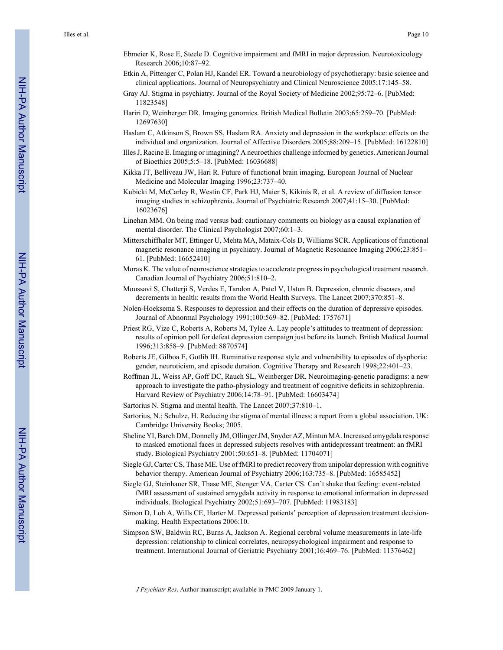Illes et al. Page 10

- Ebmeier K, Rose E, Steele D. Cognitive impairment and fMRI in major depression. Neurotoxicology Research 2006;10:87–92.
- Etkin A, Pittenger C, Polan HJ, Kandel ER. Toward a neurobiology of psychotherapy: basic science and clinical applications. Journal of Neuropsychiatry and Clinical Neuroscience 2005;17:145–58.
- Gray AJ. Stigma in psychiatry. Journal of the Royal Society of Medicine 2002;95:72–6. [PubMed: 11823548]
- Hariri D, Weinberger DR. Imaging genomics. British Medical Bulletin 2003;65:259–70. [PubMed: 12697630]
- Haslam C, Atkinson S, Brown SS, Haslam RA. Anxiety and depression in the workplace: effects on the individual and organization. Journal of Affective Disorders 2005;88:209–15. [PubMed: 16122810]
- Illes J, Racine E. Imaging or imagining? A neuroethics challenge informed by genetics. American Journal of Bioethics 2005;5:5–18. [PubMed: 16036688]
- Kikka JT, Belliveau JW, Hari R. Future of functional brain imaging. European Journal of Nuclear Medicine and Molecular Imaging 1996;23:737–40.
- Kubicki M, McCarley R, Westin CF, Park HJ, Maier S, Kikinis R, et al. A review of diffusion tensor imaging studies in schizophrenia. Journal of Psychiatric Research 2007;41:15–30. [PubMed: 16023676]
- Linehan MM. On being mad versus bad: cautionary comments on biology as a causal explanation of mental disorder. The Clinical Psychologist 2007;60:1–3.
- Mitterschiffhaler MT, Ettinger U, Mehta MA, Mataix-Cols D, Williams SCR. Applications of functional magnetic resonance imaging in psychiatry. Journal of Magnetic Resonance Imaging 2006;23:851– 61. [PubMed: 16652410]
- Moras K. The value of neuroscience strategies to accelerate progress in psychological treatment research. Canadian Journal of Psychiatry 2006;51:810–2.
- Moussavi S, Chatterji S, Verdes E, Tandon A, Patel V, Ustun B. Depression, chronic diseases, and decrements in health: results from the World Health Surveys. The Lancet 2007;370:851–8.
- Nolen-Hoeksema S. Responses to depression and their effects on the duration of depressive episodes. Journal of Abnormal Psychology 1991;100:569–82. [PubMed: 1757671]
- Priest RG, Vize C, Roberts A, Roberts M, Tylee A. Lay people's attitudes to treatment of depression: results of opinion poll for defeat depression campaign just before its launch. British Medical Journal 1996;313:858–9. [PubMed: 8870574]
- Roberts JE, Gilboa E, Gotlib IH. Ruminative response style and vulnerability to episodes of dysphoria: gender, neuroticism, and episode duration. Cognitive Therapy and Research 1998;22:401–23.
- Roffman JL, Weiss AP, Goff DC, Rauch SL, Weinberger DR. Neuroimaging-genetic paradigms: a new approach to investigate the patho-physiology and treatment of cognitive deficits in schizophrenia. Harvard Review of Psychiatry 2006;14:78–91. [PubMed: 16603474]
- Sartorius N. Stigma and mental health. The Lancet 2007;37:810–1.
- Sartorius, N.; Schulze, H. Reducing the stigma of mental illness: a report from a global association. UK: Cambridge University Books; 2005.
- Sheline YI, Barch DM, Donnelly JM, Ollinger JM, Snyder AZ, Mintun MA. Increased amygdala response to masked emotional faces in depressed subjects resolves with antidepressant treatment: an fMRI study. Biological Psychiatry 2001;50:651–8. [PubMed: 11704071]
- Siegle GJ, Carter CS, Thase ME. Use of fMRI to predict recovery from unipolar depression with cognitive behavior therapy. American Journal of Psychiatry 2006;163:735–8. [PubMed: 16585452]
- Siegle GJ, Steinhauer SR, Thase ME, Stenger VA, Carter CS. Can't shake that feeling: event-related fMRI assessment of sustained amygdala activity in response to emotional information in depressed individuals. Biological Psychiatry 2002;51:693–707. [PubMed: 11983183]
- Simon D, Loh A, Wills CE, Harter M. Depressed patients' perception of depression treatment decisionmaking. Health Expectations 2006:10.
- Simpson SW, Baldwin RC, Burns A, Jackson A. Regional cerebral volume measurements in late-life depression: relationship to clinical correlates, neuropsychological impairment and response to treatment. International Journal of Geriatric Psychiatry 2001;16:469–76. [PubMed: 11376462]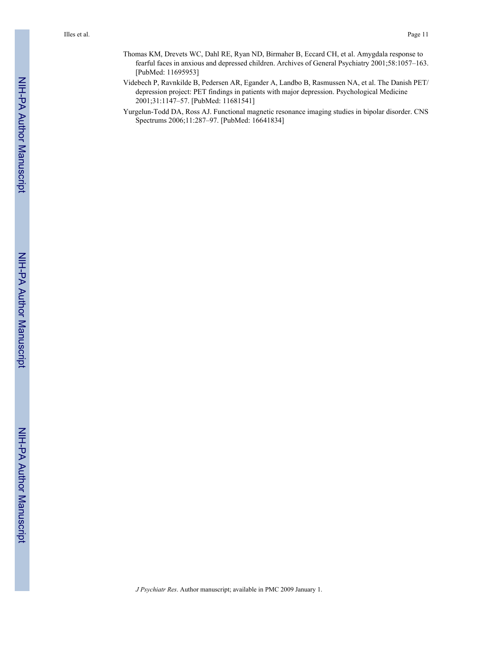- Thomas KM, Drevets WC, Dahl RE, Ryan ND, Birmaher B, Eccard CH, et al. Amygdala response to fearful faces in anxious and depressed children. Archives of General Psychiatry 2001;58:1057–163. [PubMed: 11695953]
- Videbech P, Ravnkilde B, Pedersen AR, Egander A, Landbo B, Rasmussen NA, et al. The Danish PET/ depression project: PET findings in patients with major depression. Psychological Medicine 2001;31:1147–57. [PubMed: 11681541]
- Yurgelun-Todd DA, Ross AJ. Functional magnetic resonance imaging studies in bipolar disorder. CNS Spectrums 2006;11:287–97. [PubMed: 16641834]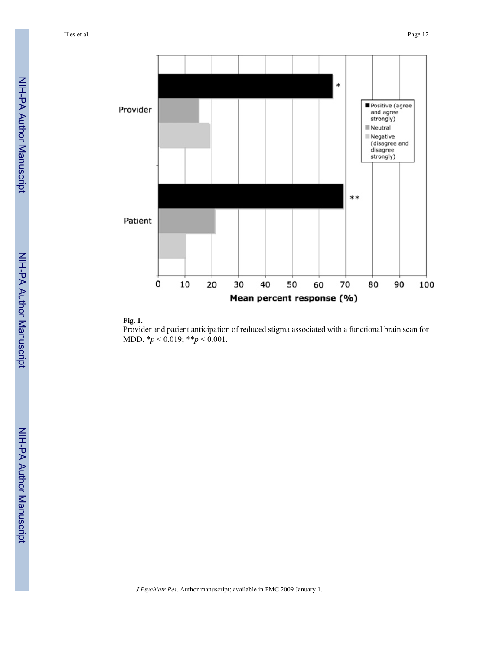Illes et al. Page 12





Provider and patient anticipation of reduced stigma associated with a functional brain scan for MDD. \**p* < 0.019; \*\**p* < 0.001.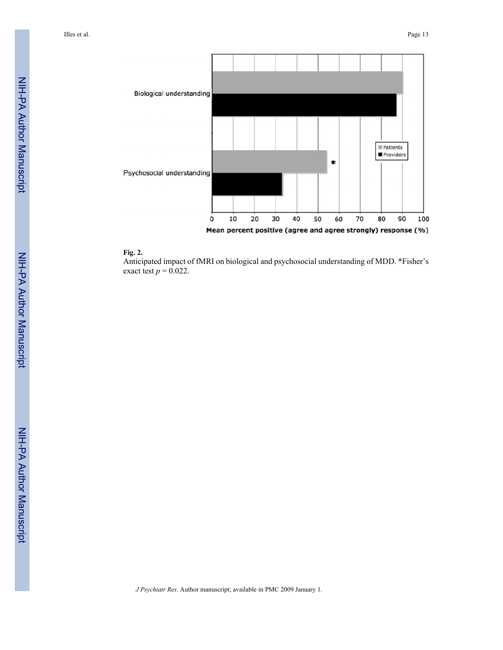



Anticipated impact of fMRI on biological and psychosocial understanding of MDD. \*Fisher's exact test  $p = 0.022$ .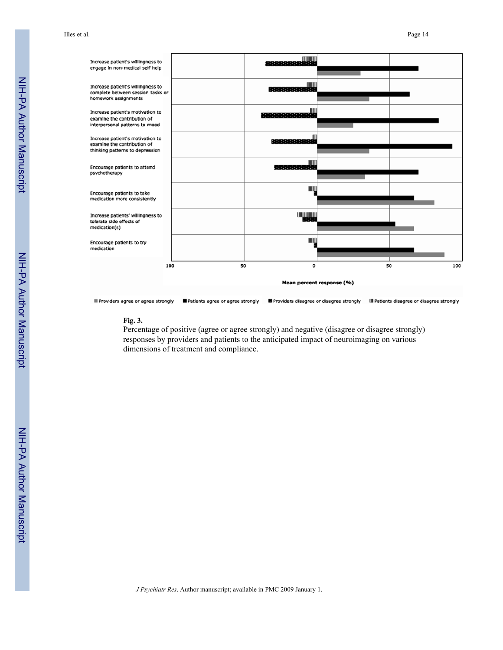Illes et al. Page 14



Providers agree or agree strongly Patients agree or agree strongly **B** Providers disagree or disagree strongly III Patients disagree or disagree strongly

#### **Fig. 3.**

Percentage of positive (agree or agree strongly) and negative (disagree or disagree strongly) responses by providers and patients to the anticipated impact of neuroimaging on various dimensions of treatment and compliance.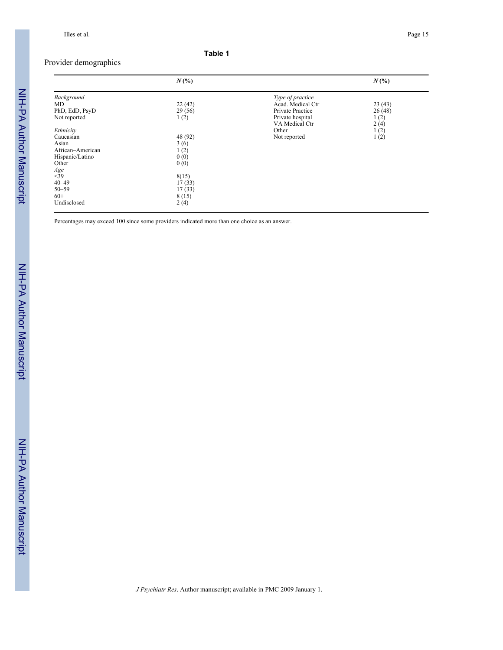#### **Table 1**

## Provider demographics

|                  | $N(\%)$ |                   | $N(\%)$ |
|------------------|---------|-------------------|---------|
| Background       |         | Type of practice  |         |
| MD               | 22(42)  | Acad. Medical Ctr | 23(43)  |
| PhD, EdD, PsyD   | 29(56)  | Private Practice  | 26(48)  |
| Not reported     | 1(2)    | Private hospital  | 1(2)    |
|                  |         | VA Medical Ctr    | 2(4)    |
| Ethnicity        |         | Other             | 1(2)    |
| Caucasian        | 48 (92) | Not reported      | 1(2)    |
| Asian            | 3(6)    |                   |         |
| African-American | 1(2)    |                   |         |
| Hispanic/Latino  | 0(0)    |                   |         |
| Other            | 0(0)    |                   |         |
| Age              |         |                   |         |
| $<$ 39           | 8(15)   |                   |         |
| $40 - 49$        | 17(33)  |                   |         |
| $50 - 59$        | 17(33)  |                   |         |
| $60+$            | 8(15)   |                   |         |
| Undisclosed      | 2(4)    |                   |         |

Percentages may exceed 100 since some providers indicated more than one choice as an answer.